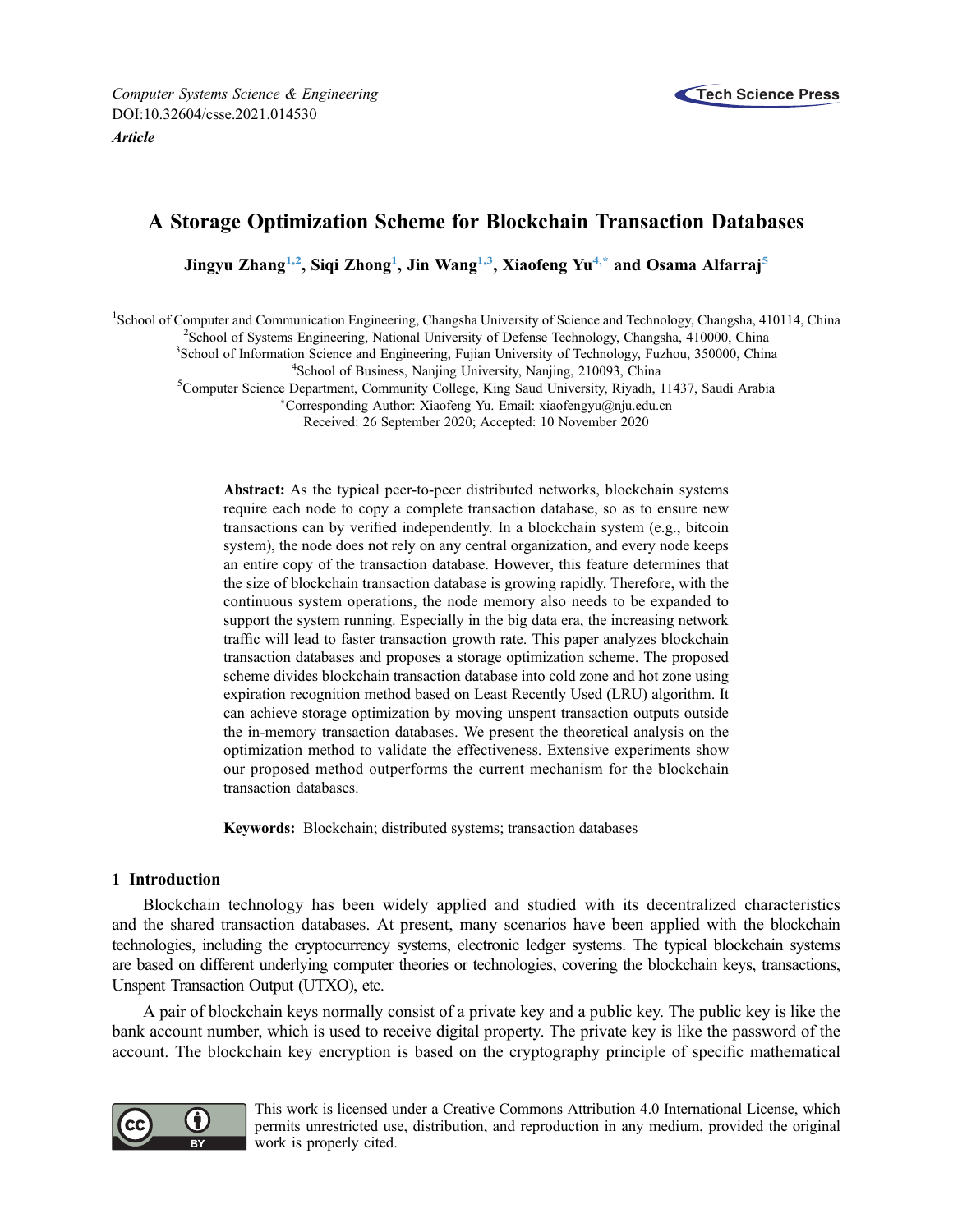

# A Storage Optimization Scheme for Blockchain Transaction Databases

Jingyu Zhang<sup>[1,](#page-0-0)2</sup>, Siqi Zhong<sup>1</sup>, Jin Wang<sup>1,3</sup>, Xiaofeng Yu<sup>[4](#page-0-3)[,\\*](#page-0-4)</sup> and Osama Alfarraj<sup>[5](#page-0-5)</sup>

<span id="page-0-5"></span><span id="page-0-3"></span><span id="page-0-2"></span><span id="page-0-1"></span><span id="page-0-0"></span><sup>1</sup>School of Computer and Communication Engineering, Changsha University of Science and Technology, Changsha, 410114, China <sup>2</sup>School of Systems Engineering, National University of Defense Technology, Changsha, 410000, Chi

<sup>2</sup> School of Systems Engineering, National University of Defense Technology, Changsha, 410000, China

<sup>3</sup>School of Information Science and Engineering, Fujian University of Technology, Fuzhou, 350000, China

<sup>4</sup>School of Business, Nanjing University, Nanjing, 210093, China

<span id="page-0-4"></span><sup>5</sup>Computer Science Department, Community College, King Saud University, Riyadh, 11437, Saudi Arabia

Corresponding Author: Xiaofeng Yu. Email: [xiaofengyu@nju.edu.cn](mailto:xiaofengyu@nju.edu.cn)

Received: 26 September 2020; Accepted: 10 November 2020

Abstract: As the typical peer-to-peer distributed networks, blockchain systems require each node to copy a complete transaction database, so as to ensure new transactions can by verified independently. In a blockchain system (e.g., bitcoin system), the node does not rely on any central organization, and every node keeps an entire copy of the transaction database. However, this feature determines that the size of blockchain transaction database is growing rapidly. Therefore, with the continuous system operations, the node memory also needs to be expanded to support the system running. Especially in the big data era, the increasing network traffic will lead to faster transaction growth rate. This paper analyzes blockchain transaction databases and proposes a storage optimization scheme. The proposed scheme divides blockchain transaction database into cold zone and hot zone using expiration recognition method based on Least Recently Used (LRU) algorithm. It can achieve storage optimization by moving unspent transaction outputs outside the in-memory transaction databases. We present the theoretical analysis on the optimization method to validate the effectiveness. Extensive experiments show our proposed method outperforms the current mechanism for the blockchain transaction databases.

Keywords: Blockchain; distributed systems; transaction databases

# 1 Introduction

Blockchain technology has been widely applied and studied with its decentralized characteristics and the shared transaction databases. At present, many scenarios have been applied with the blockchain technologies, including the cryptocurrency systems, electronic ledger systems. The typical blockchain systems are based on different underlying computer theories or technologies, covering the blockchain keys, transactions, Unspent Transaction Output (UTXO), etc.

A pair of blockchain keys normally consist of a private key and a public key. The public key is like the bank account number, which is used to receive digital property. The private key is like the password of the account. The blockchain key encryption is based on the cryptography principle of specific mathematical



This work is licensed under a Creative Commons Attribution 4.0 International License, which permits unrestricted use, distribution, and reproduction in any medium, provided the original work is properly cited.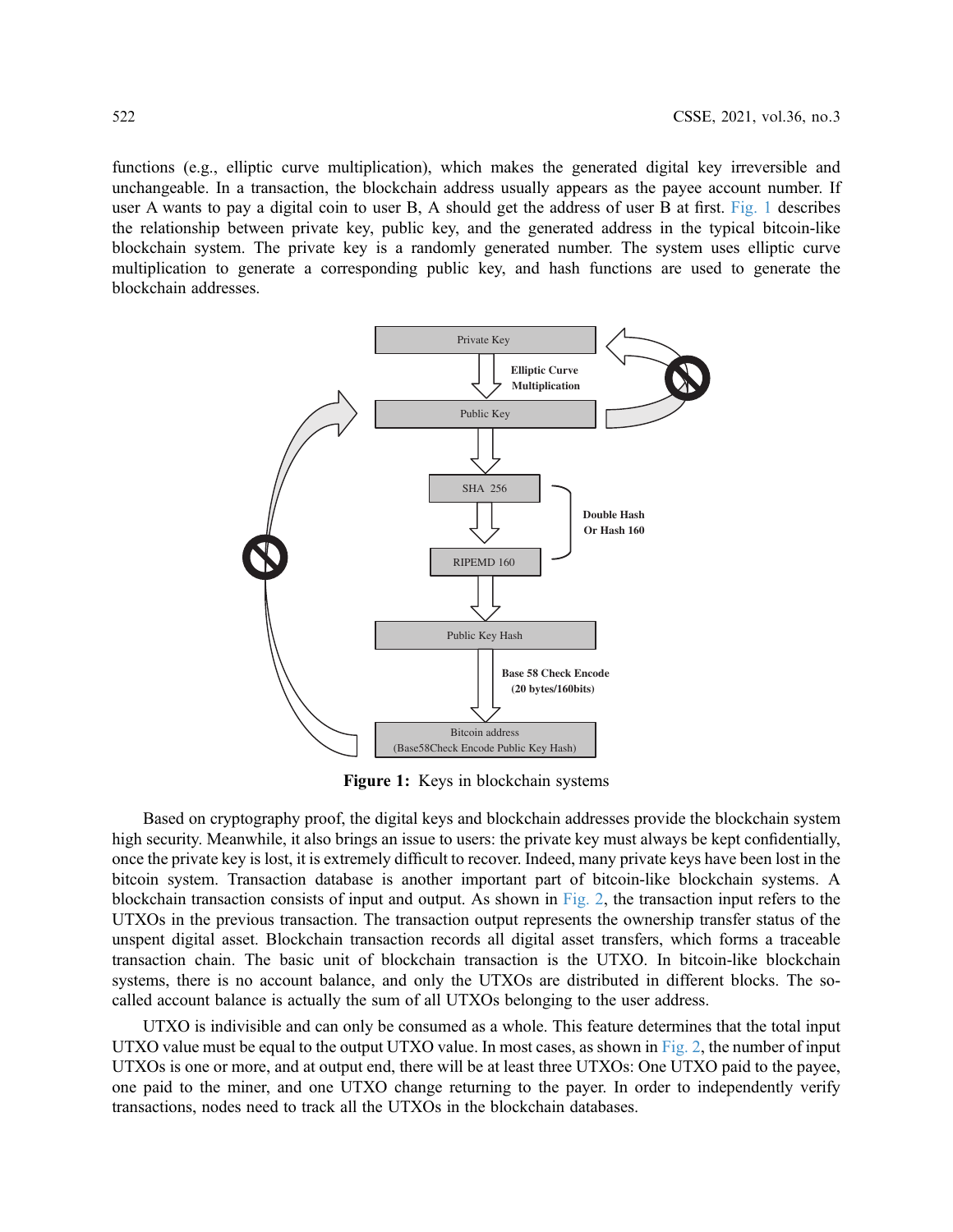functions (e.g., elliptic curve multiplication), which makes the generated digital key irreversible and unchangeable. In a transaction, the blockchain address usually appears as the payee account number. If user A wants to pay a digital coin to user B, A should get the address of user B at first. [Fig. 1](#page-1-0) describes the relationship between private key, public key, and the generated address in the typical bitcoin-like blockchain system. The private key is a randomly generated number. The system uses elliptic curve multiplication to generate a corresponding public key, and hash functions are used to generate the blockchain addresses.

<span id="page-1-0"></span>

Figure 1: Keys in blockchain systems

Based on cryptography proof, the digital keys and blockchain addresses provide the blockchain system high security. Meanwhile, it also brings an issue to users: the private key must always be kept confidentially, once the private key is lost, it is extremely difficult to recover. Indeed, many private keys have been lost in the bitcoin system. Transaction database is another important part of bitcoin-like blockchain systems. A blockchain transaction consists of input and output. As shown in [Fig. 2](#page-2-0), the transaction input refers to the UTXOs in the previous transaction. The transaction output represents the ownership transfer status of the unspent digital asset. Blockchain transaction records all digital asset transfers, which forms a traceable transaction chain. The basic unit of blockchain transaction is the UTXO. In bitcoin-like blockchain systems, there is no account balance, and only the UTXOs are distributed in different blocks. The socalled account balance is actually the sum of all UTXOs belonging to the user address.

UTXO is indivisible and can only be consumed as a whole. This feature determines that the total input UTXO value must be equal to the output UTXO value. In most cases, as shown in [Fig. 2](#page-2-0), the number of input UTXOs is one or more, and at output end, there will be at least three UTXOs: One UTXO paid to the payee, one paid to the miner, and one UTXO change returning to the payer. In order to independently verify transactions, nodes need to track all the UTXOs in the blockchain databases.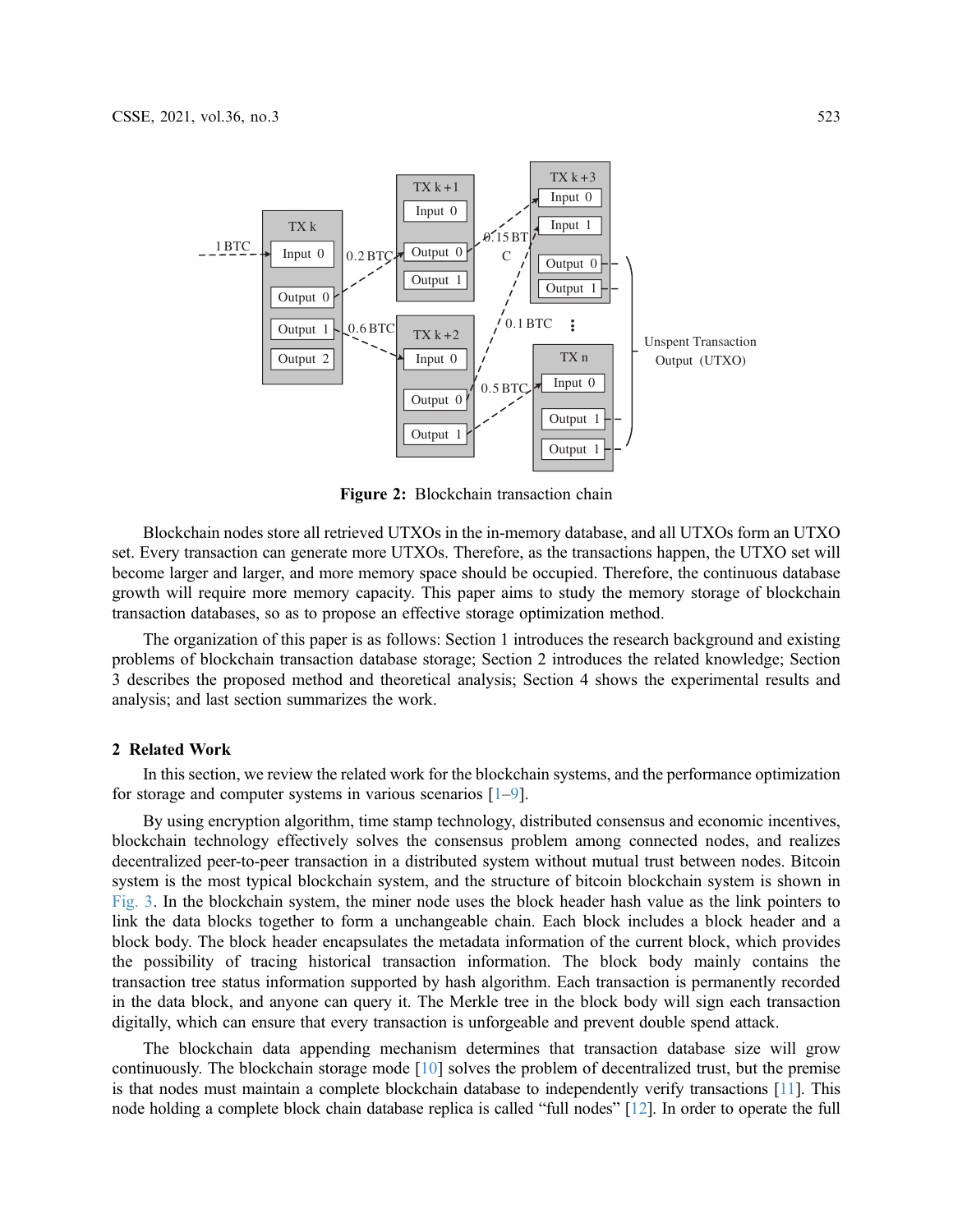<span id="page-2-0"></span>

Figure 2: Blockchain transaction chain

Blockchain nodes store all retrieved UTXOs in the in-memory database, and all UTXOs form an UTXO set. Every transaction can generate more UTXOs. Therefore, as the transactions happen, the UTXO set will become larger and larger, and more memory space should be occupied. Therefore, the continuous database growth will require more memory capacity. This paper aims to study the memory storage of blockchain transaction databases, so as to propose an effective storage optimization method.

The organization of this paper is as follows: Section 1 introduces the research background and existing problems of blockchain transaction database storage; Section 2 introduces the related knowledge; Section 3 describes the proposed method and theoretical analysis; Section 4 shows the experimental results and analysis; and last section summarizes the work.

## 2 Related Work

In this section, we review the related work for the blockchain systems, and the performance optimization for storage and computer systems in various scenarios  $[1-9]$  $[1-9]$  $[1-9]$ .

By using encryption algorithm, time stamp technology, distributed consensus and economic incentives, blockchain technology effectively solves the consensus problem among connected nodes, and realizes decentralized peer-to-peer transaction in a distributed system without mutual trust between nodes. Bitcoin system is the most typical blockchain system, and the structure of bitcoin blockchain system is shown in [Fig. 3](#page-3-0). In the blockchain system, the miner node uses the block header hash value as the link pointers to link the data blocks together to form a unchangeable chain. Each block includes a block header and a block body. The block header encapsulates the metadata information of the current block, which provides the possibility of tracing historical transaction information. The block body mainly contains the transaction tree status information supported by hash algorithm. Each transaction is permanently recorded in the data block, and anyone can query it. The Merkle tree in the block body will sign each transaction digitally, which can ensure that every transaction is unforgeable and prevent double spend attack.

The blockchain data appending mechanism determines that transaction database size will grow continuously. The blockchain storage mode [\[10](#page-12-2)] solves the problem of decentralized trust, but the premise is that nodes must maintain a complete blockchain database to independently verify transactions [\[11](#page-12-3)]. This node holding a complete block chain database replica is called "full nodes" [\[12\]](#page-12-4). In order to operate the full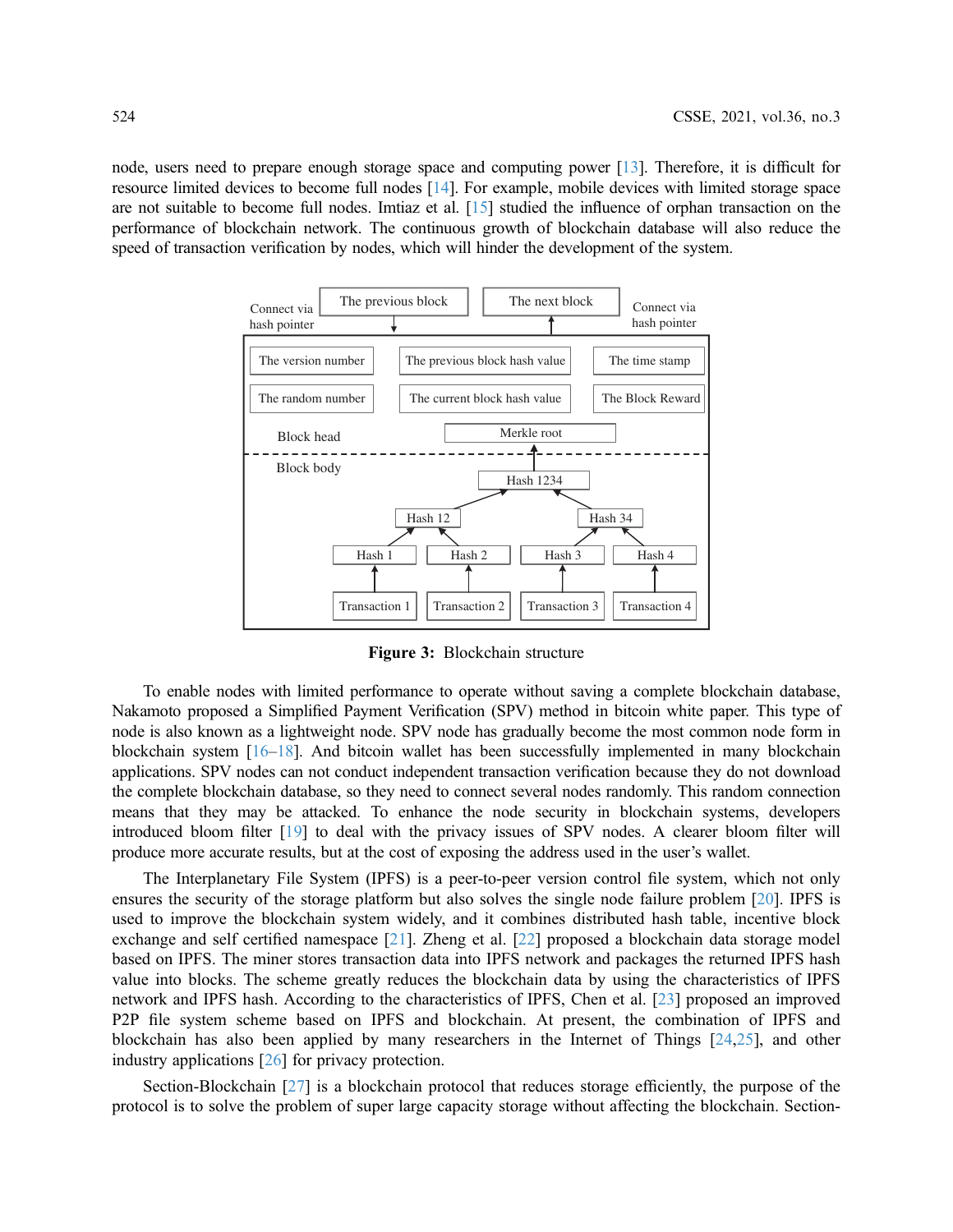<span id="page-3-0"></span>node, users need to prepare enough storage space and computing power [[13\]](#page-13-0). Therefore, it is difficult for resource limited devices to become full nodes [\[14\]](#page-13-1). For example, mobile devices with limited storage space are not suitable to become full nodes. Imtiaz et al. [[15\]](#page-13-2) studied the influence of orphan transaction on the performance of blockchain network. The continuous growth of blockchain database will also reduce the speed of transaction verification by nodes, which will hinder the development of the system.



Figure 3: Blockchain structure

To enable nodes with limited performance to operate without saving a complete blockchain database, Nakamoto proposed a Simplified Payment Verification (SPV) method in bitcoin white paper. This type of node is also known as a lightweight node. SPV node has gradually become the most common node form in blockchain system [[16](#page-13-3)–[18\]](#page-13-4). And bitcoin wallet has been successfully implemented in many blockchain applications. SPV nodes can not conduct independent transaction verification because they do not download the complete blockchain database, so they need to connect several nodes randomly. This random connection means that they may be attacked. To enhance the node security in blockchain systems, developers introduced bloom filter [\[19](#page-13-5)] to deal with the privacy issues of SPV nodes. A clearer bloom filter will produce more accurate results, but at the cost of exposing the address used in the user's wallet.

The Interplanetary File System (IPFS) is a peer-to-peer version control file system, which not only ensures the security of the storage platform but also solves the single node failure problem [\[20](#page-13-6)]. IPFS is used to improve the blockchain system widely, and it combines distributed hash table, incentive block exchange and self certified namespace [[21](#page-13-7)]. Zheng et al. [\[22](#page-13-8)] proposed a blockchain data storage model based on IPFS. The miner stores transaction data into IPFS network and packages the returned IPFS hash value into blocks. The scheme greatly reduces the blockchain data by using the characteristics of IPFS network and IPFS hash. According to the characteristics of IPFS, Chen et al. [[23\]](#page-13-9) proposed an improved P2P file system scheme based on IPFS and blockchain. At present, the combination of IPFS and blockchain has also been applied by many researchers in the Internet of Things [[24](#page-13-10)[,25](#page-13-11)], and other industry applications [[26\]](#page-13-12) for privacy protection.

Section-Blockchain [\[27\]](#page-13-13) is a blockchain protocol that reduces storage efficiently, the purpose of the protocol is to solve the problem of super large capacity storage without affecting the blockchain. Section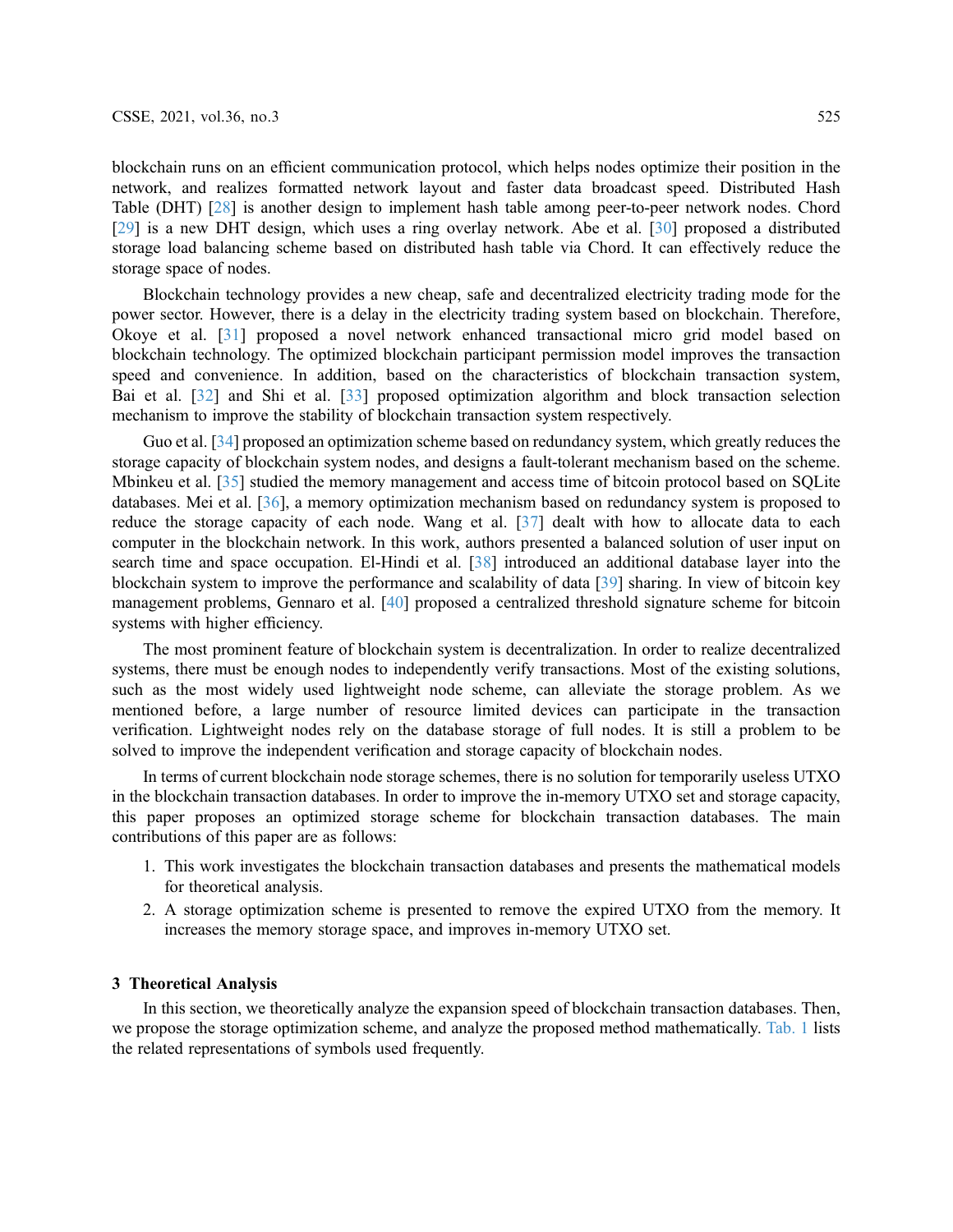blockchain runs on an efficient communication protocol, which helps nodes optimize their position in the network, and realizes formatted network layout and faster data broadcast speed. Distributed Hash Table (DHT) [\[28](#page-13-14)] is another design to implement hash table among peer-to-peer network nodes. Chord [[29](#page-13-15)] is a new DHT design, which uses a ring overlay network. Abe et al. [[30\]](#page-13-16) proposed a distributed storage load balancing scheme based on distributed hash table via Chord. It can effectively reduce the storage space of nodes.

Blockchain technology provides a new cheap, safe and decentralized electricity trading mode for the power sector. However, there is a delay in the electricity trading system based on blockchain. Therefore, Okoye et al. [[31](#page-13-17)] proposed a novel network enhanced transactional micro grid model based on blockchain technology. The optimized blockchain participant permission model improves the transaction speed and convenience. In addition, based on the characteristics of blockchain transaction system, Bai et al. [\[32](#page-13-18)] and Shi et al. [\[33](#page-13-19)] proposed optimization algorithm and block transaction selection mechanism to improve the stability of blockchain transaction system respectively.

Guo et al. [\[34](#page-13-20)] proposed an optimization scheme based on redundancy system, which greatly reduces the storage capacity of blockchain system nodes, and designs a fault-tolerant mechanism based on the scheme. Mbinkeu et al. [[35\]](#page-13-21) studied the memory management and access time of bitcoin protocol based on SQLite databases. Mei et al. [[36\]](#page-14-0), a memory optimization mechanism based on redundancy system is proposed to reduce the storage capacity of each node. Wang et al. [\[37](#page-14-1)] dealt with how to allocate data to each computer in the blockchain network. In this work, authors presented a balanced solution of user input on search time and space occupation. El-Hindi et al. [[38\]](#page-14-2) introduced an additional database layer into the blockchain system to improve the performance and scalability of data [\[39](#page-14-3)] sharing. In view of bitcoin key management problems, Gennaro et al. [\[40](#page-14-4)] proposed a centralized threshold signature scheme for bitcoin systems with higher efficiency.

The most prominent feature of blockchain system is decentralization. In order to realize decentralized systems, there must be enough nodes to independently verify transactions. Most of the existing solutions, such as the most widely used lightweight node scheme, can alleviate the storage problem. As we mentioned before, a large number of resource limited devices can participate in the transaction verification. Lightweight nodes rely on the database storage of full nodes. It is still a problem to be solved to improve the independent verification and storage capacity of blockchain nodes.

In terms of current blockchain node storage schemes, there is no solution for temporarily useless UTXO in the blockchain transaction databases. In order to improve the in-memory UTXO set and storage capacity, this paper proposes an optimized storage scheme for blockchain transaction databases. The main contributions of this paper are as follows:

- 1. This work investigates the blockchain transaction databases and presents the mathematical models for theoretical analysis.
- 2. A storage optimization scheme is presented to remove the expired UTXO from the memory. It increases the memory storage space, and improves in-memory UTXO set.

## 3 Theoretical Analysis

In this section, we theoretically analyze the expansion speed of blockchain transaction databases. Then, we propose the storage optimization scheme, and analyze the proposed method mathematically. [Tab. 1](#page-5-0) lists the related representations of symbols used frequently.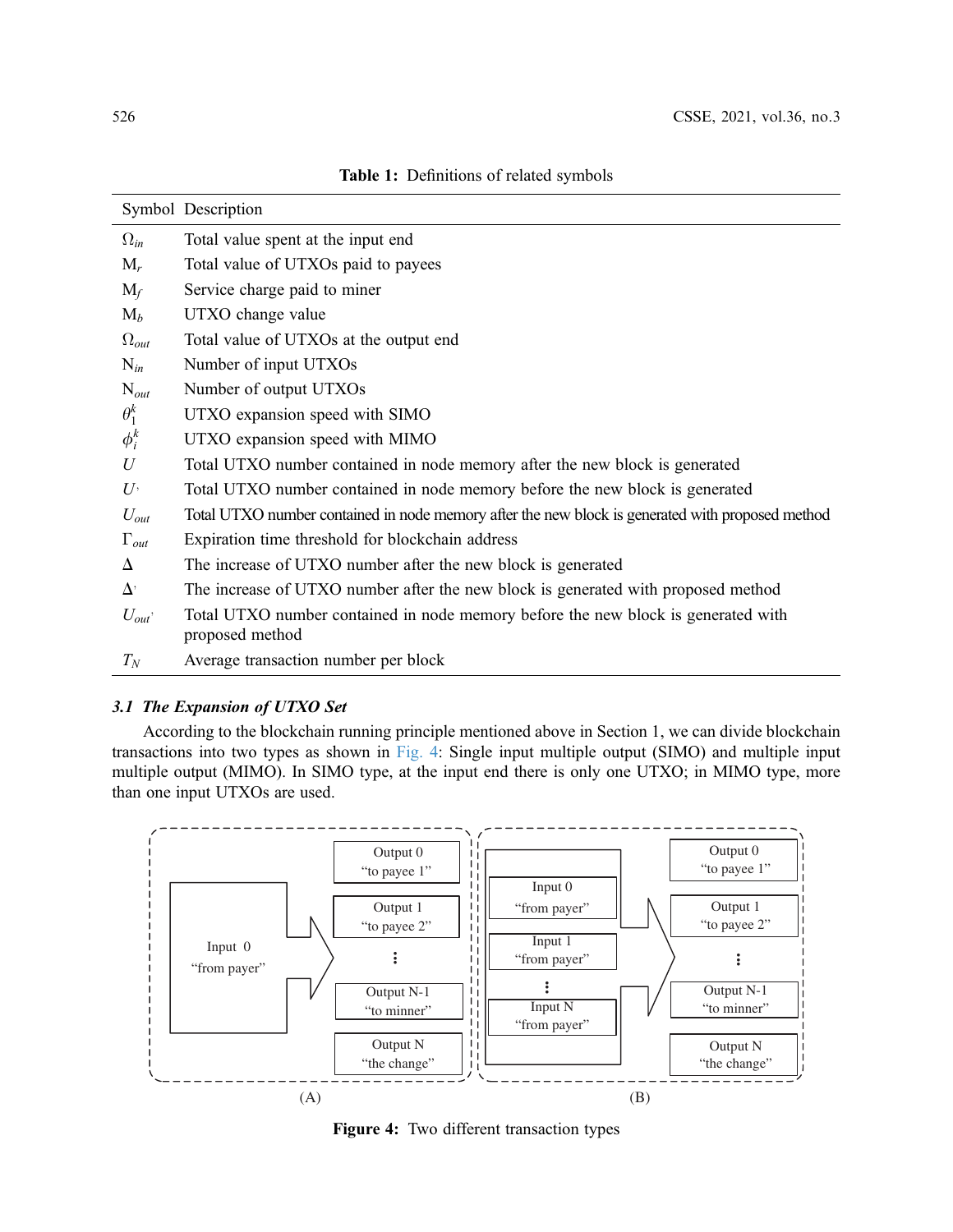<span id="page-5-0"></span>

|                | Symbol Description                                                                                   |
|----------------|------------------------------------------------------------------------------------------------------|
| $\Omega_{in}$  | Total value spent at the input end                                                                   |
| $M_r$          | Total value of UTXOs paid to payees                                                                  |
| $M_f$          | Service charge paid to miner                                                                         |
| $M_b$          | UTXO change value                                                                                    |
| $\Omega_{out}$ | Total value of UTXOs at the output end                                                               |
| $N_{in}$       | Number of input UTXOs                                                                                |
| $N_{out}$      | Number of output UTXOs                                                                               |
| $\theta_1^k$   | UTXO expansion speed with SIMO                                                                       |
| $\phi_i^k$     | UTXO expansion speed with MIMO                                                                       |
| U              | Total UTXO number contained in node memory after the new block is generated                          |
| $U^,$          | Total UTXO number contained in node memory before the new block is generated                         |
| $U_{out}$      | Total UTXO number contained in node memory after the new block is generated with proposed method     |
| $\Gamma_{out}$ | Expiration time threshold for blockchain address                                                     |
| Δ              | The increase of UTXO number after the new block is generated                                         |
| $\Delta'$      | The increase of UTXO number after the new block is generated with proposed method                    |
| $U_{out}$      | Total UTXO number contained in node memory before the new block is generated with<br>proposed method |
| $T_N$          | Average transaction number per block                                                                 |

Table 1: Definitions of related symbols

# 3.1 The Expansion of UTXO Set

According to the blockchain running principle mentioned above in Section 1, we can divide blockchain transactions into two types as shown in [Fig. 4:](#page-5-1) Single input multiple output (SIMO) and multiple input multiple output (MIMO). In SIMO type, at the input end there is only one UTXO; in MIMO type, more than one input UTXOs are used.

<span id="page-5-1"></span>

Figure 4: Two different transaction types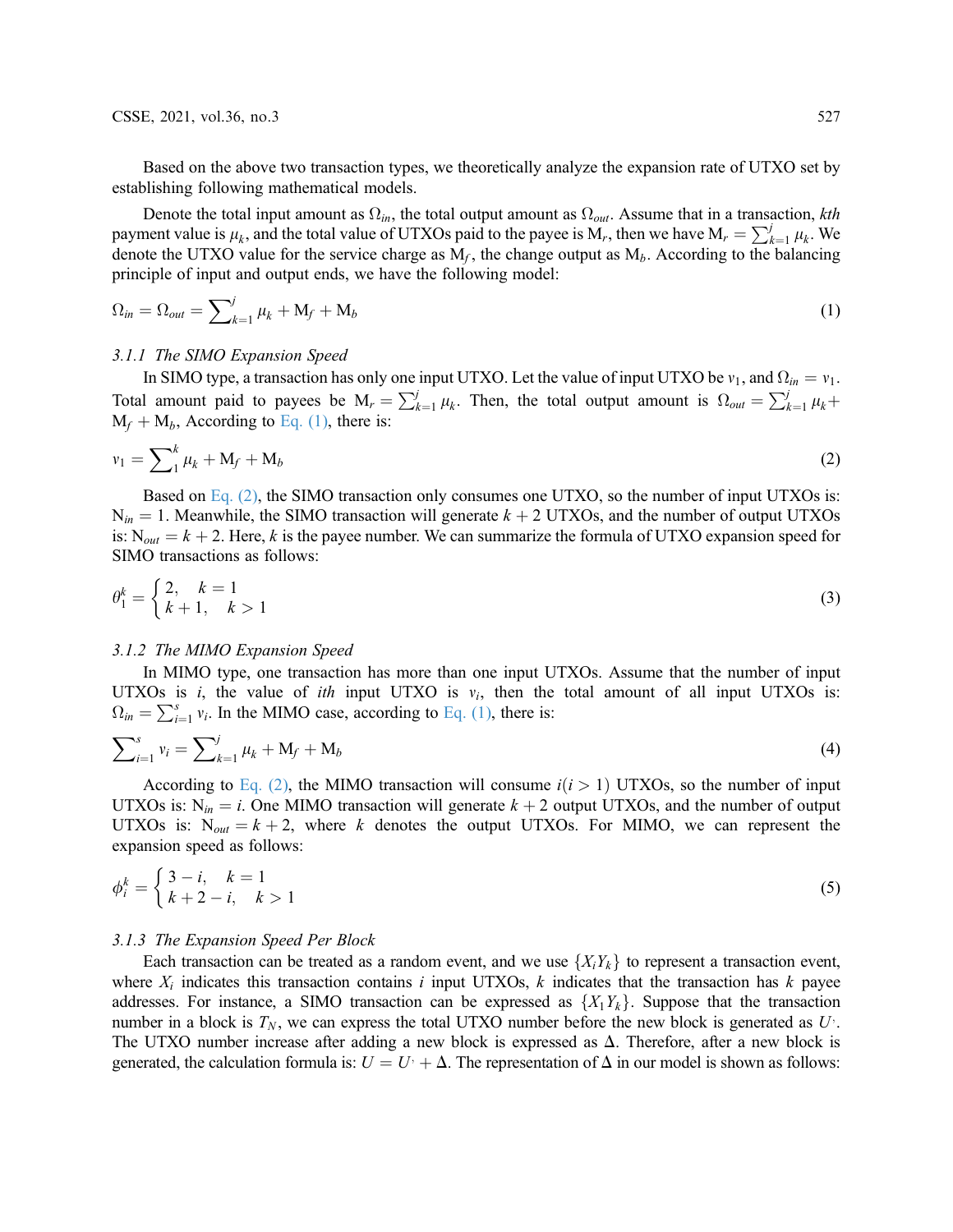#### CSSE, 2021, vol.36, no.3 527

Based on the above two transaction types, we theoretically analyze the expansion rate of UTXO set by establishing following mathematical models.

Denote the total input amount as  $\Omega_{in}$ , the total output amount as  $\Omega_{out}$ . Assume that in a transaction, kth payment value is  $\mu_k$ , and the total value of UTXOs paid to the payee is  $M_r$ , then we have  $M_r = \sum_{k=1}^{j} \mu_k$ . We denote the UTXO value for the service charge as  $M_c$ , the change output as  $M_c$ . According to the balanci denote the UTXO value for the service charge as  $M_f$ , the change output as  $M_b$ . According to the balancing principle of input and output ends, we have the following model:

<span id="page-6-0"></span>
$$
\Omega_{in} = \Omega_{out} = \sum_{k=1}^{j} \mu_k + \mathbf{M}_f + \mathbf{M}_b \tag{1}
$$

## 3.1.1 The SIMO Expansion Speed

<span id="page-6-1"></span>In SIMO type, a transaction has only one input UTXO. Let the value of input UTXO be  $v_1$ , and  $\Omega_{in} = v_1$ . Total amount paid to payees be  $M_r = \sum_{k=1}^{j} \mu_k$ . Then, the total output amount is  $\Omega_{out} = \sum_{k=1}^{j} \mu_k + M_{i}$ . According to Eq. (1), there is:  $M_f + M_b$ , According to [Eq. \(1\),](#page-6-0) there is:

$$
v_1 = \sum_{1}^{k} \mu_k + M_f + M_b \tag{2}
$$

Based on [Eq. \(2\),](#page-6-1) the SIMO transaction only consumes one UTXO, so the number of input UTXOs is:  $N_{in} = 1$ . Meanwhile, the SIMO transaction will generate  $k + 2$  UTXOs, and the number of output UTXOs is:  $N_{out} = k + 2$ . Here, k is the payee number. We can summarize the formula of UTXO expansion speed for SIMO transactions as follows:

$$
\theta_1^k = \begin{cases} 2, & k = 1 \\ k+1, & k > 1 \end{cases}
$$
 (3)

#### 3.1.2 The MIMO Expansion Speed

<span id="page-6-2"></span>In MIMO type, one transaction has more than one input UTXOs. Assume that the number of input UTXOs is i, the value of ith input UTXO is  $v_i$ , then the total amount of all input UTXOs is:  $\Omega_{in} = \sum_{i=1}^{s} v_i$ . In the MIMO case, according to [Eq. \(1\),](#page-6-0) there is:

$$
\sum_{i=1}^{s} v_i = \sum_{k=1}^{j} \mu_k + M_f + M_b \tag{4}
$$

According to [Eq. \(2\)](#page-6-1), the MIMO transaction will consume  $i(i > 1)$  UTXOs, so the number of input UTXOs is:  $N_{in} = i$ . One MIMO transaction will generate  $k + 2$  output UTXOs, and the number of output UTXOs is:  $N_{out} = k + 2$ , where k denotes the output UTXOs. For MIMO, we can represent the expansion speed as follows:

$$
\phi_i^k = \begin{cases} 3 - i, & k = 1 \\ k + 2 - i, & k > 1 \end{cases}
$$
 (5)

#### 3.1.3 The Expansion Speed Per Block

Each transaction can be treated as a random event, and we use  $\{X_iY_k\}$  to represent a transaction event, where  $X_i$  indicates this transaction contains i input UTXOs, k indicates that the transaction has k payee addresses. For instance, a SIMO transaction can be expressed as  $\{X_1Y_k\}$ . Suppose that the transaction number in a block is  $T_N$ , we can express the total UTXO number before the new block is generated as  $U^{\dagger}$ . The UTXO number increase after adding a new block is expressed as  $\Delta$ . Therefore, after a new block is generated, the calculation formula is:  $U = U<sup>+</sup> + \Delta$ . The representation of  $\Delta$  in our model is shown as follows: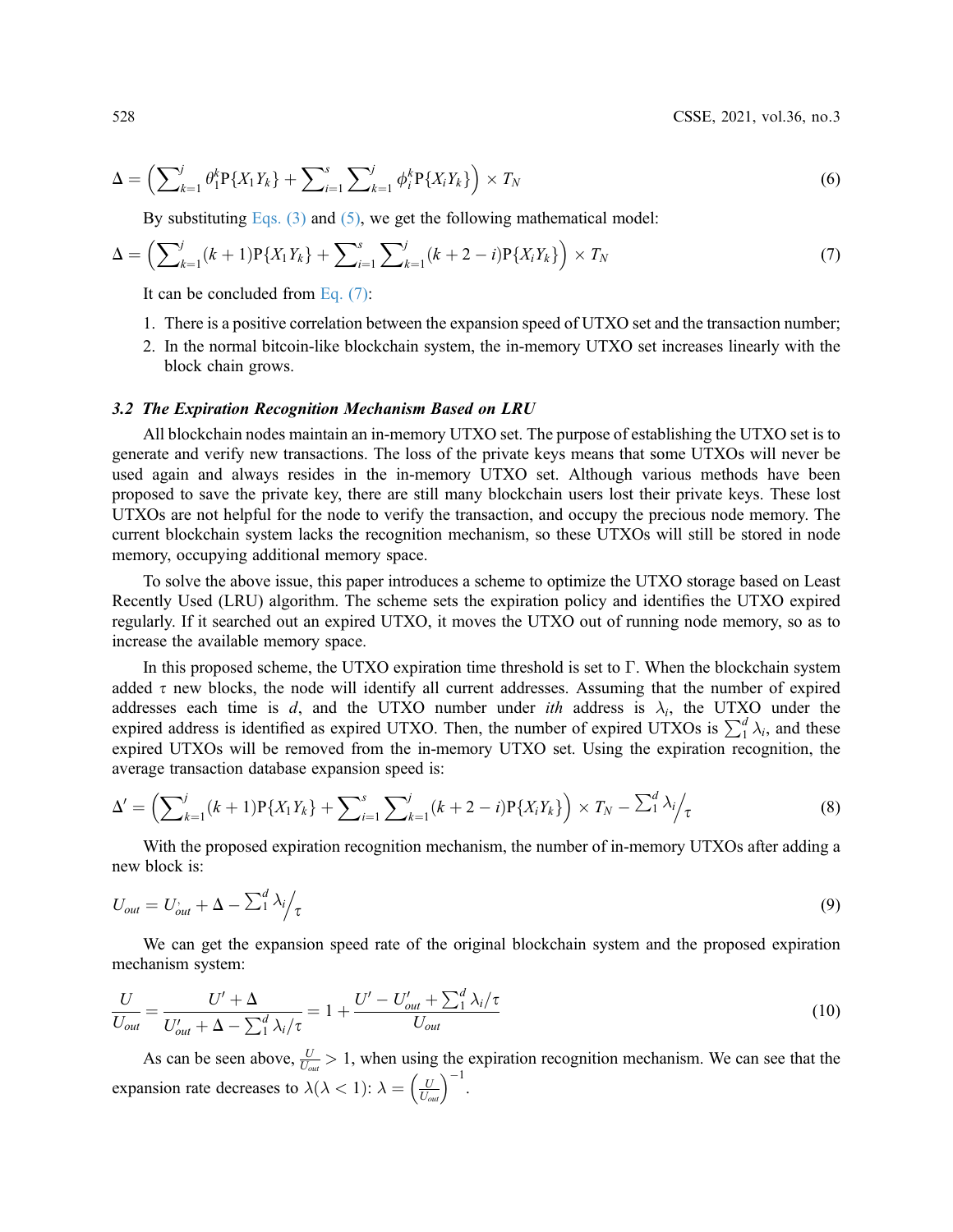528 CSSE, 2021, vol.36, no.3

$$
\Delta = \left( \sum_{k=1}^{j} \theta_1^k P\{X_1 Y_k\} + \sum_{i=1}^{s} \sum_{k=1}^{j} \phi_i^k P\{X_i Y_k\} \right) \times T_N \tag{6}
$$

<span id="page-7-0"></span>By substituting Eqs.  $(3)$  and  $(5)$ , we get the following mathematical model:

$$
\Delta = \left(\sum_{k=1}^{j} (k+1) P\{X_1 Y_k\} + \sum_{i=1}^{s} \sum_{k=1}^{j} (k+2-i) P\{X_i Y_k\}\right) \times T_N \tag{7}
$$

It can be concluded from [Eq. \(7\)](#page-7-1):

- 1. There is a positive correlation between the expansion speed of UTXO set and the transaction number;
- 2. In the normal bitcoin-like blockchain system, the in-memory UTXO set increases linearly with the block chain grows.

#### 3.2 The Expiration Recognition Mechanism Based on LRU

All blockchain nodes maintain an in-memory UTXO set. The purpose of establishing the UTXO set is to generate and verify new transactions. The loss of the private keys means that some UTXOs will never be used again and always resides in the in-memory UTXO set. Although various methods have been proposed to save the private key, there are still many blockchain users lost their private keys. These lost UTXOs are not helpful for the node to verify the transaction, and occupy the precious node memory. The current blockchain system lacks the recognition mechanism, so these UTXOs will still be stored in node memory, occupying additional memory space.

To solve the above issue, this paper introduces a scheme to optimize the UTXO storage based on Least Recently Used (LRU) algorithm. The scheme sets the expiration policy and identifies the UTXO expired regularly. If it searched out an expired UTXO, it moves the UTXO out of running node memory, so as to increase the available memory space.

In this proposed scheme, the UTXO expiration time threshold is set to  $\Gamma$ . When the blockchain system added  $\tau$  new blocks, the node will identify all current addresses. Assuming that the number of expired addresses each time is d, and the UTXO number under *ith* address is  $\lambda_i$ , the UTXO under the expired address is identified as expired UTXO. Then, the number of expired UTXOs is  $\sum_1^d \lambda_i$ , and these expired UTXOs will be removed from the in-memory UTXO set. Using the expiration recognition, the average transaction database expansion speed is:

$$
\Delta' = \left(\sum_{k=1}^{j} (k+1) P\{X_1 Y_k\} + \sum_{i=1}^{s} \sum_{k=1}^{j} (k+2-i) P\{X_i Y_k\}\right) \times T_N - \sum_{i=1}^{d} \lambda_i / \tau
$$
\n(8)

<span id="page-7-1"></span>With the proposed expiration recognition mechanism, the number of in-memory UTXOs after adding a new block is:

$$
U_{out} = U_{out}^{\prime} + \Delta - \sum_{i=1}^{d} \lambda_i / \tau \tag{9}
$$

We can get the expansion speed rate of the original blockchain system and the proposed expiration mechanism system:

$$
\frac{U}{U_{out}} = \frac{U' + \Delta}{U'_{out} + \Delta - \sum_{1}^{d} \lambda_i / \tau} = 1 + \frac{U' - U'_{out} + \sum_{1}^{d} \lambda_i / \tau}{U_{out}}
$$
(10)

As can be seen above,  $\frac{U}{U_{out}} > 1$ , when using the expiration recognition mechanism. We can see that the expansion rate decreases to  $\lambda(\lambda < 1)$ :  $\lambda = \left(\frac{U}{U_{\text{out}}}\right)^{-1}$ .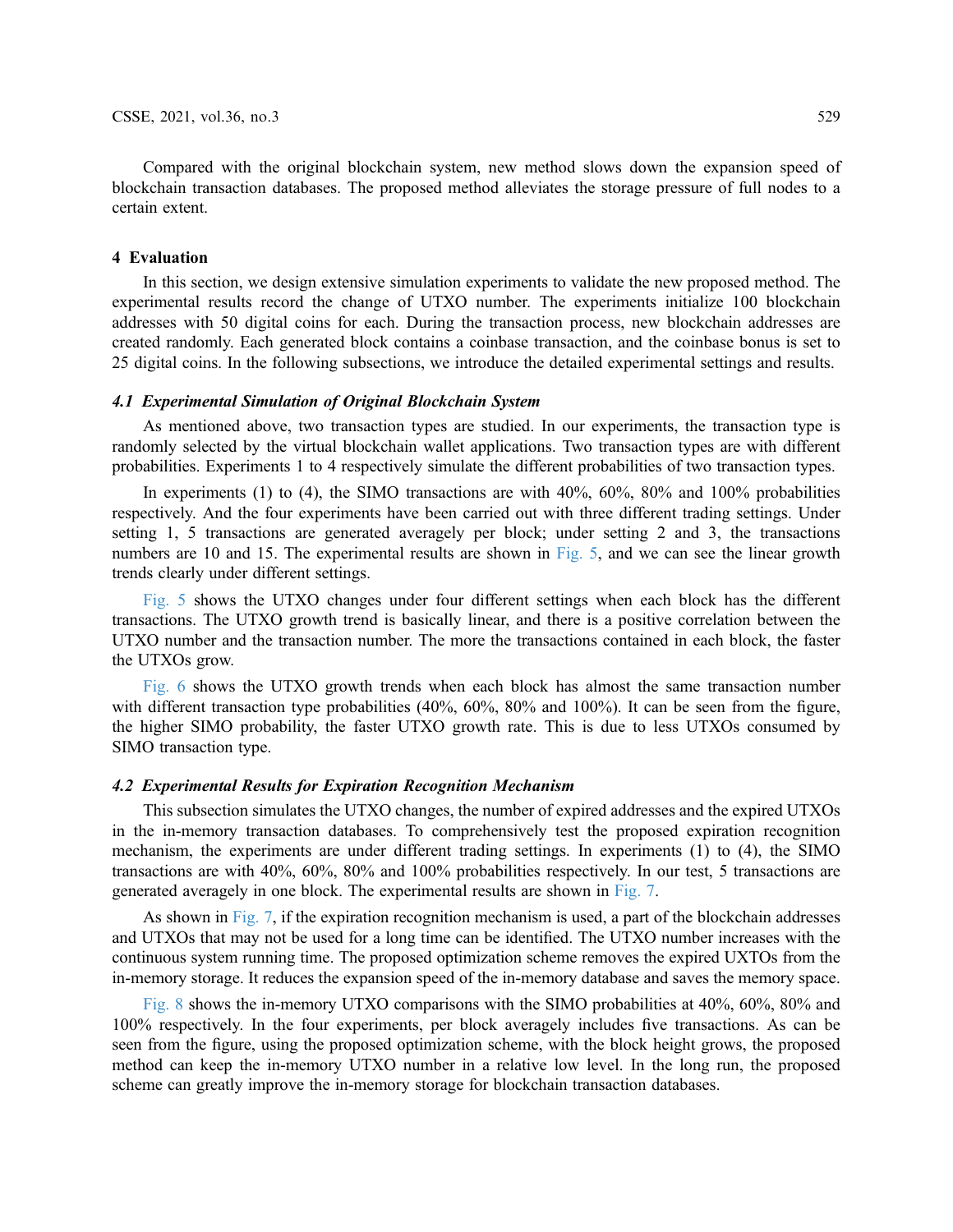Compared with the original blockchain system, new method slows down the expansion speed of blockchain transaction databases. The proposed method alleviates the storage pressure of full nodes to a certain extent.

# 4 Evaluation

In this section, we design extensive simulation experiments to validate the new proposed method. The experimental results record the change of UTXO number. The experiments initialize 100 blockchain addresses with 50 digital coins for each. During the transaction process, new blockchain addresses are created randomly. Each generated block contains a coinbase transaction, and the coinbase bonus is set to 25 digital coins. In the following subsections, we introduce the detailed experimental settings and results.

## 4.1 Experimental Simulation of Original Blockchain System

As mentioned above, two transaction types are studied. In our experiments, the transaction type is randomly selected by the virtual blockchain wallet applications. Two transaction types are with different probabilities. Experiments 1 to 4 respectively simulate the different probabilities of two transaction types.

In experiments (1) to (4), the SIMO transactions are with 40%, 60%, 80% and 100% probabilities respectively. And the four experiments have been carried out with three different trading settings. Under setting 1, 5 transactions are generated averagely per block; under setting 2 and 3, the transactions numbers are 10 and 15. The experimental results are shown in [Fig. 5](#page-9-0), and we can see the linear growth trends clearly under different settings.

[Fig. 5](#page-9-0) shows the UTXO changes under four different settings when each block has the different transactions. The UTXO growth trend is basically linear, and there is a positive correlation between the UTXO number and the transaction number. The more the transactions contained in each block, the faster the UTXOs grow.

[Fig. 6](#page-9-1) shows the UTXO growth trends when each block has almost the same transaction number with different transaction type probabilities (40%, 60%, 80% and 100%). It can be seen from the figure, the higher SIMO probability, the faster UTXO growth rate. This is due to less UTXOs consumed by SIMO transaction type.

## 4.2 Experimental Results for Expiration Recognition Mechanism

This subsection simulates the UTXO changes, the number of expired addresses and the expired UTXOs in the in-memory transaction databases. To comprehensively test the proposed expiration recognition mechanism, the experiments are under different trading settings. In experiments (1) to (4), the SIMO transactions are with 40%, 60%, 80% and 100% probabilities respectively. In our test, 5 transactions are generated averagely in one block. The experimental results are shown in [Fig. 7.](#page-10-0)

As shown in [Fig. 7](#page-10-0), if the expiration recognition mechanism is used, a part of the blockchain addresses and UTXOs that may not be used for a long time can be identified. The UTXO number increases with the continuous system running time. The proposed optimization scheme removes the expired UXTOs from the in-memory storage. It reduces the expansion speed of the in-memory database and saves the memory space.

[Fig. 8](#page-11-0) shows the in-memory UTXO comparisons with the SIMO probabilities at 40%, 60%, 80% and 100% respectively. In the four experiments, per block averagely includes five transactions. As can be seen from the figure, using the proposed optimization scheme, with the block height grows, the proposed method can keep the in-memory UTXO number in a relative low level. In the long run, the proposed scheme can greatly improve the in-memory storage for blockchain transaction databases.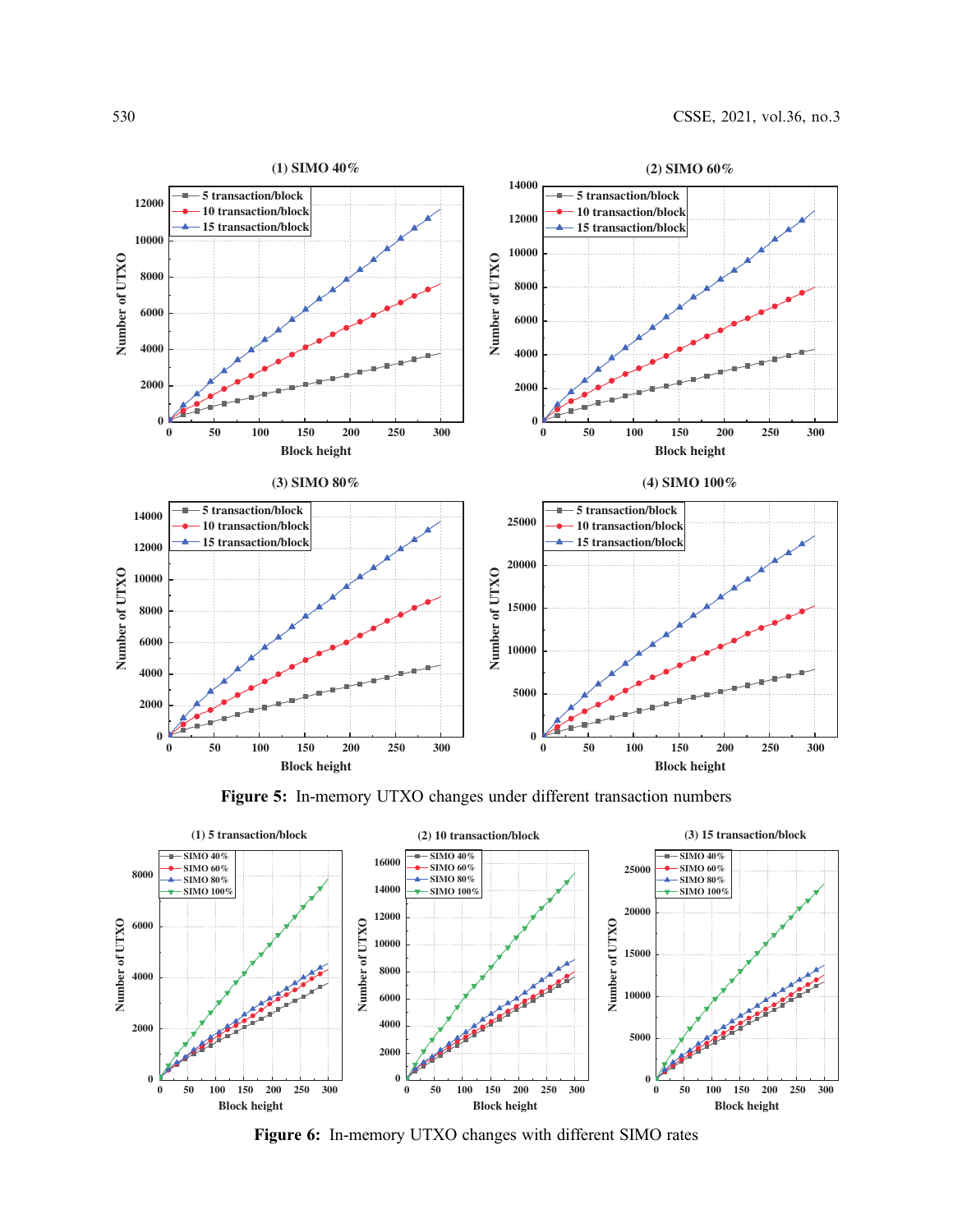<span id="page-9-0"></span>



<span id="page-9-1"></span>

Figure 6: In-memory UTXO changes with different SIMO rates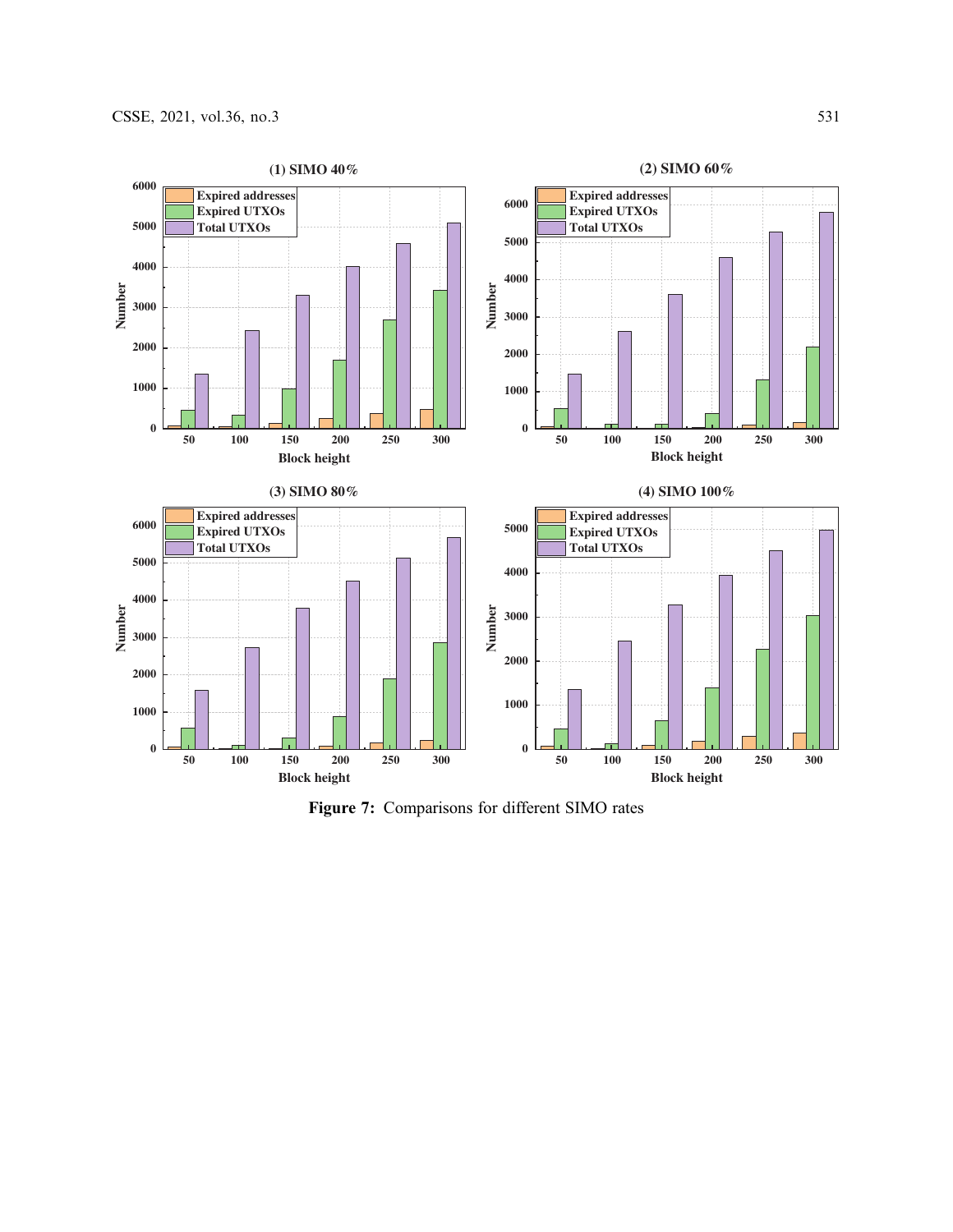<span id="page-10-0"></span>

Figure 7: Comparisons for different SIMO rates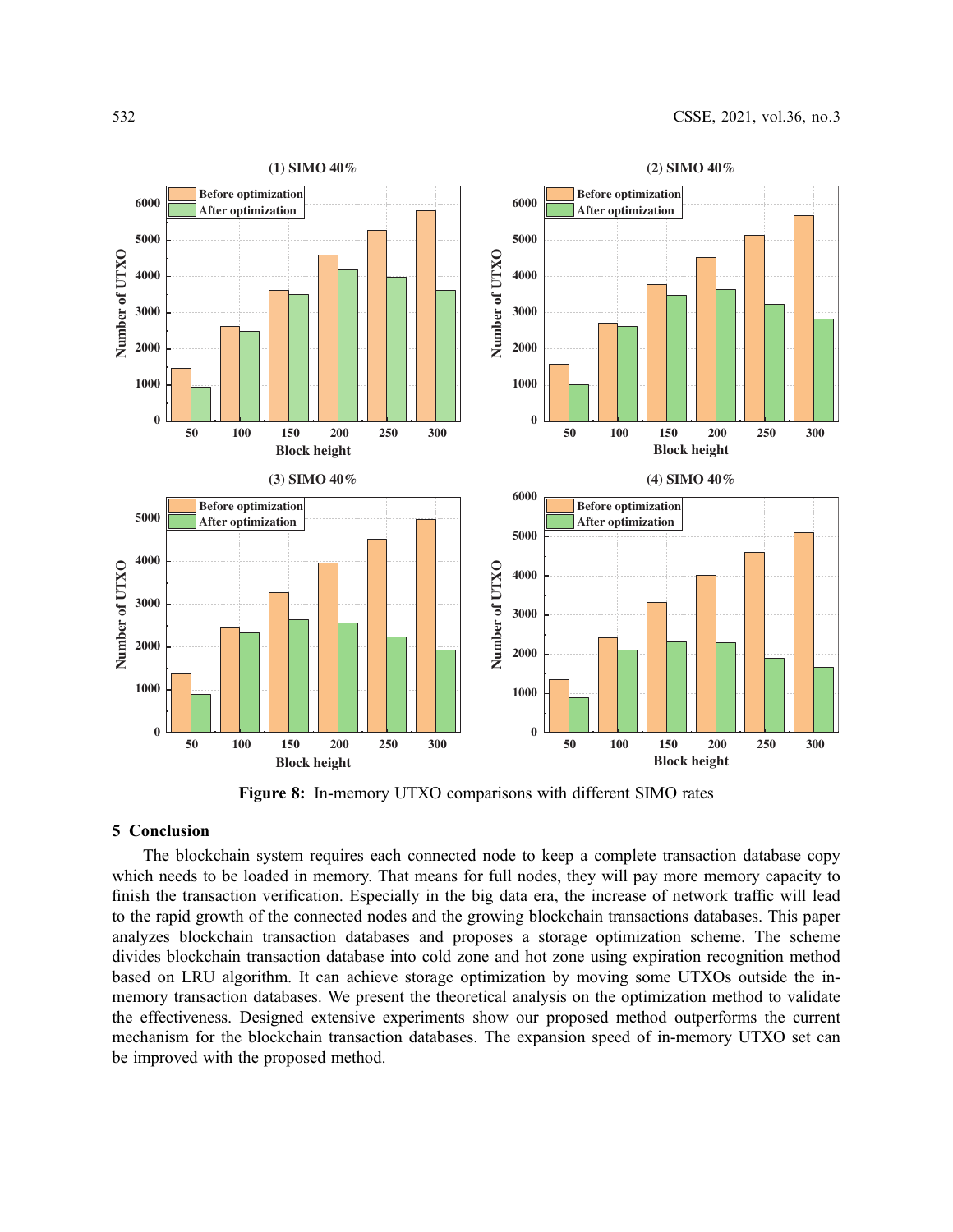<span id="page-11-0"></span>

Figure 8: In-memory UTXO comparisons with different SIMO rates

# 5 Conclusion

The blockchain system requires each connected node to keep a complete transaction database copy which needs to be loaded in memory. That means for full nodes, they will pay more memory capacity to finish the transaction verification. Especially in the big data era, the increase of network traffic will lead to the rapid growth of the connected nodes and the growing blockchain transactions databases. This paper analyzes blockchain transaction databases and proposes a storage optimization scheme. The scheme divides blockchain transaction database into cold zone and hot zone using expiration recognition method based on LRU algorithm. It can achieve storage optimization by moving some UTXOs outside the inmemory transaction databases. We present the theoretical analysis on the optimization method to validate the effectiveness. Designed extensive experiments show our proposed method outperforms the current mechanism for the blockchain transaction databases. The expansion speed of in-memory UTXO set can be improved with the proposed method.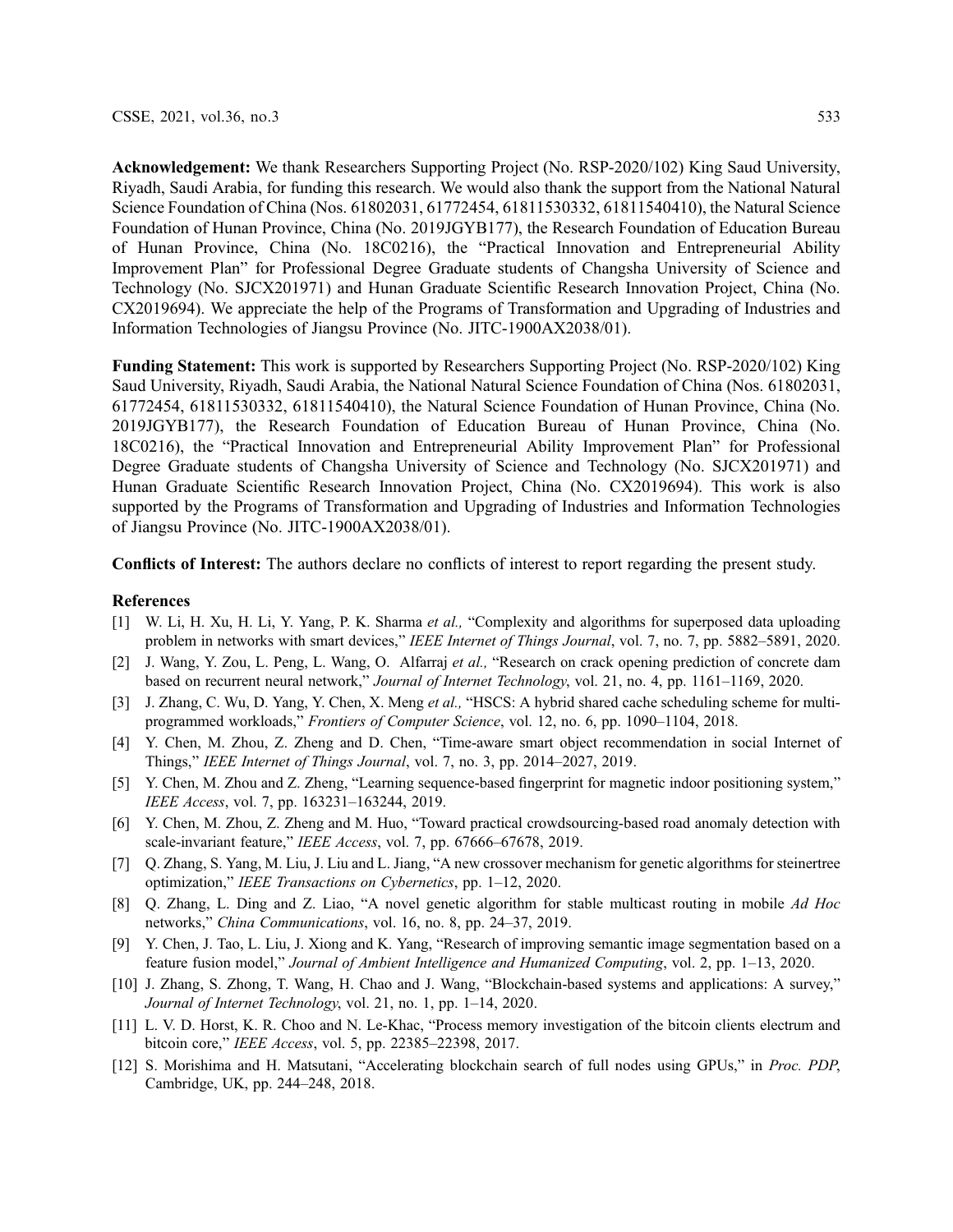Acknowledgement: We thank Researchers Supporting Project (No. RSP-2020/102) King Saud University, Riyadh, Saudi Arabia, for funding this research. We would also thank the support from the National Natural Science Foundation of China (Nos. 61802031, 61772454, 61811530332, 61811540410), the Natural Science Foundation of Hunan Province, China (No. 2019JGYB177), the Research Foundation of Education Bureau of Hunan Province, China (No. 18C0216), the "Practical Innovation and Entrepreneurial Ability Improvement Plan" for Professional Degree Graduate students of Changsha University of Science and Technology (No. SJCX201971) and Hunan Graduate Scientific Research Innovation Project, China (No. CX2019694). We appreciate the help of the Programs of Transformation and Upgrading of Industries and Information Technologies of Jiangsu Province (No. JITC-1900AX2038/01).

Funding Statement: This work is supported by Researchers Supporting Project (No. RSP-2020/102) King Saud University, Riyadh, Saudi Arabia, the National Natural Science Foundation of China (Nos. 61802031, 61772454, 61811530332, 61811540410), the Natural Science Foundation of Hunan Province, China (No. 2019JGYB177), the Research Foundation of Education Bureau of Hunan Province, China (No. 18C0216), the "Practical Innovation and Entrepreneurial Ability Improvement Plan" for Professional Degree Graduate students of Changsha University of Science and Technology (No. SJCX201971) and Hunan Graduate Scientific Research Innovation Project, China (No. CX2019694). This work is also supported by the Programs of Transformation and Upgrading of Industries and Information Technologies of Jiangsu Province (No. JITC-1900AX2038/01).

Conflicts of Interest: The authors declare no conflicts of interest to report regarding the present study.

## References

- <span id="page-12-0"></span>[1] W. Li, H. Xu, H. Li, Y. Yang, P. K. Sharma et al., "Complexity and algorithms for superposed data uploading problem in networks with smart devices," IEEE Internet of Things Journal, vol. 7, no. 7, pp. 5882–5891, 2020.
- [2] J. Wang, Y. Zou, L. Peng, L. Wang, O. Alfarraj et al., "Research on crack opening prediction of concrete dam based on recurrent neural network," Journal of Internet Technology, vol. 21, no. 4, pp. 1161–1169, 2020.
- [3] J. Zhang, C. Wu, D. Yang, Y. Chen, X. Meng et al., "HSCS: A hybrid shared cache scheduling scheme for multiprogrammed workloads," Frontiers of Computer Science, vol. 12, no. 6, pp. 1090–1104, 2018.
- [4] Y. Chen, M. Zhou, Z. Zheng and D. Chen, "Time-aware smart object recommendation in social Internet of Things," IEEE Internet of Things Journal, vol. 7, no. 3, pp. 2014–2027, 2019.
- [5] Y. Chen, M. Zhou and Z. Zheng, "Learning sequence-based fingerprint for magnetic indoor positioning system," IEEE Access, vol. 7, pp. 163231–163244, 2019.
- [6] Y. Chen, M. Zhou, Z. Zheng and M. Huo, "Toward practical crowdsourcing-based road anomaly detection with scale-invariant feature," IEEE Access, vol. 7, pp. 67666-67678, 2019.
- [7] Q. Zhang, S. Yang, M. Liu, J. Liu and L. Jiang, "A new crossover mechanism for genetic algorithms for steinertree optimization," IEEE Transactions on Cybernetics, pp. 1–12, 2020.
- [8] Q. Zhang, L. Ding and Z. Liao, "A novel genetic algorithm for stable multicast routing in mobile Ad Hoc networks," China Communications, vol. 16, no. 8, pp. 24–37, 2019.
- <span id="page-12-1"></span>[9] Y. Chen, J. Tao, L. Liu, J. Xiong and K. Yang, "Research of improving semantic image segmentation based on a feature fusion model," Journal of Ambient Intelligence and Humanized Computing, vol. 2, pp. 1–13, 2020.
- <span id="page-12-2"></span>[10] J. Zhang, S. Zhong, T. Wang, H. Chao and J. Wang, "Blockchain-based systems and applications: A survey," Journal of Internet Technology, vol. 21, no. 1, pp. 1–14, 2020.
- <span id="page-12-3"></span>[11] L. V. D. Horst, K. R. Choo and N. Le-Khac, "Process memory investigation of the bitcoin clients electrum and bitcoin core," IEEE Access, vol. 5, pp. 22385–22398, 2017.
- <span id="page-12-4"></span>[12] S. Morishima and H. Matsutani, "Accelerating blockchain search of full nodes using GPUs," in Proc. PDP, Cambridge, UK, pp. 244–248, 2018.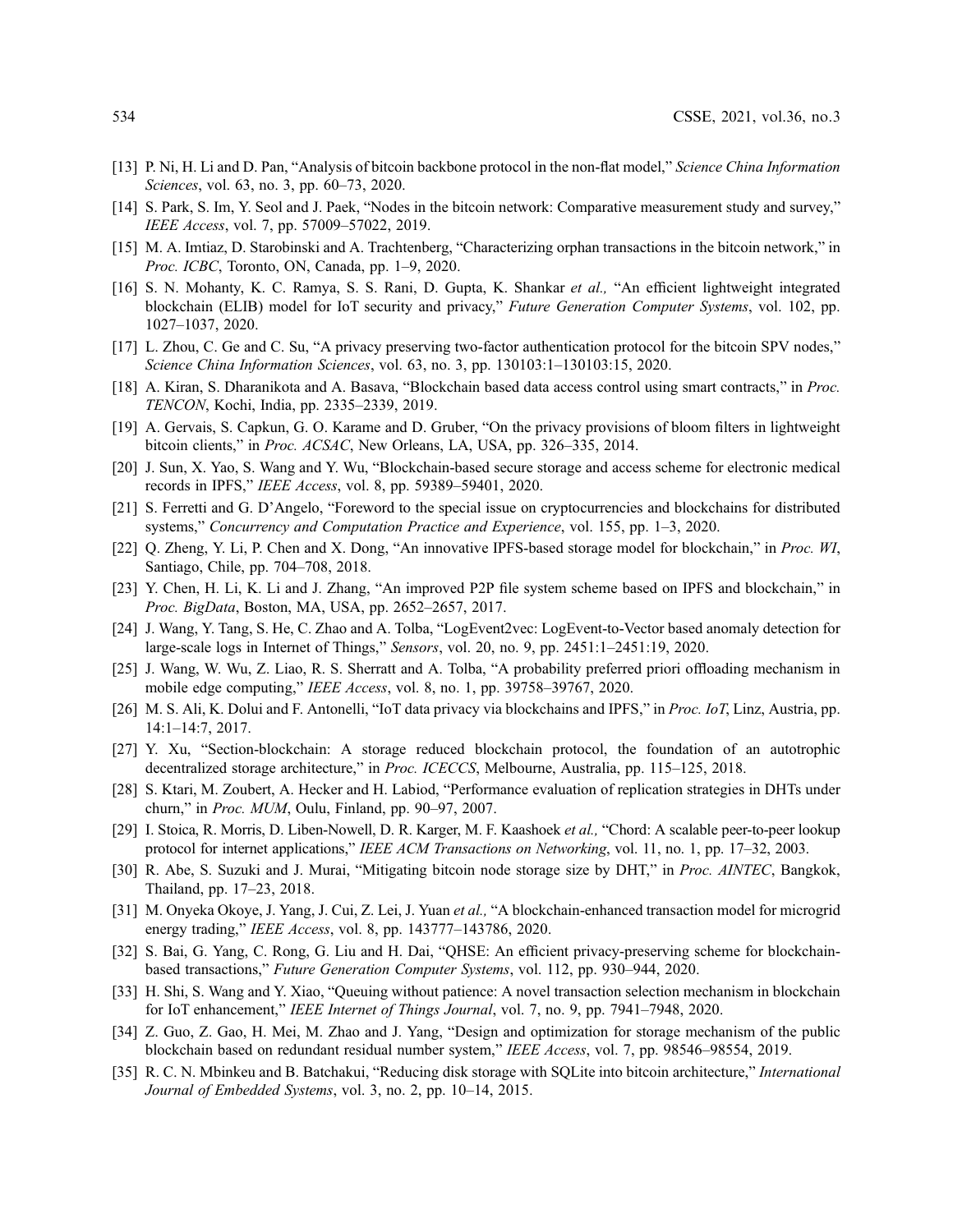- <span id="page-13-0"></span>[13] P. Ni, H. Li and D. Pan, "Analysis of bitcoin backbone protocol in the non-flat model," Science China Information Sciences, vol. 63, no. 3, pp. 60–73, 2020.
- <span id="page-13-1"></span>[14] S. Park, S. Im, Y. Seol and J. Paek, "Nodes in the bitcoin network: Comparative measurement study and survey," IEEE Access, vol. 7, pp. 57009–57022, 2019.
- <span id="page-13-2"></span>[15] M. A. Imtiaz, D. Starobinski and A. Trachtenberg, "Characterizing orphan transactions in the bitcoin network," in Proc. ICBC, Toronto, ON, Canada, pp. 1–9, 2020.
- <span id="page-13-3"></span>[16] S. N. Mohanty, K. C. Ramya, S. S. Rani, D. Gupta, K. Shankar et al., "An efficient lightweight integrated blockchain (ELIB) model for IoT security and privacy," Future Generation Computer Systems, vol. 102, pp. 1027–1037, 2020.
- [17] L. Zhou, C. Ge and C. Su, "A privacy preserving two-factor authentication protocol for the bitcoin SPV nodes," Science China Information Sciences, vol. 63, no. 3, pp. 130103:1–130103:15, 2020.
- <span id="page-13-4"></span>[18] A. Kiran, S. Dharanikota and A. Basava, "Blockchain based data access control using smart contracts," in Proc. TENCON, Kochi, India, pp. 2335–2339, 2019.
- <span id="page-13-5"></span>[19] A. Gervais, S. Capkun, G. O. Karame and D. Gruber, "On the privacy provisions of bloom filters in lightweight bitcoin clients," in Proc. ACSAC, New Orleans, LA, USA, pp. 326–335, 2014.
- <span id="page-13-6"></span>[20] J. Sun, X. Yao, S. Wang and Y. Wu, "Blockchain-based secure storage and access scheme for electronic medical records in IPFS," IEEE Access, vol. 8, pp. 59389–59401, 2020.
- <span id="page-13-7"></span>[21] S. Ferretti and G. D'Angelo, "Foreword to the special issue on cryptocurrencies and blockchains for distributed systems," Concurrency and Computation Practice and Experience, vol. 155, pp. 1–3, 2020.
- <span id="page-13-8"></span>[22] Q. Zheng, Y. Li, P. Chen and X. Dong, "An innovative IPFS-based storage model for blockchain," in Proc. WI, Santiago, Chile, pp. 704–708, 2018.
- <span id="page-13-9"></span>[23] Y. Chen, H. Li, K. Li and J. Zhang, "An improved P2P file system scheme based on IPFS and blockchain," in Proc. BigData, Boston, MA, USA, pp. 2652–2657, 2017.
- <span id="page-13-10"></span>[24] J. Wang, Y. Tang, S. He, C. Zhao and A. Tolba, "LogEvent2vec: LogEvent-to-Vector based anomaly detection for large-scale logs in Internet of Things," Sensors, vol. 20, no. 9, pp. 2451:1–2451:19, 2020.
- <span id="page-13-11"></span>[25] J. Wang, W. Wu, Z. Liao, R. S. Sherratt and A. Tolba, "A probability preferred priori offloading mechanism in mobile edge computing," IEEE Access, vol. 8, no. 1, pp. 39758–39767, 2020.
- <span id="page-13-12"></span>[26] M. S. Ali, K. Dolui and F. Antonelli, "IoT data privacy via blockchains and IPFS," in Proc. IoT, Linz, Austria, pp. 14:1–14:7, 2017.
- <span id="page-13-13"></span>[27] Y. Xu, "Section-blockchain: A storage reduced blockchain protocol, the foundation of an autotrophic decentralized storage architecture," in Proc. ICECCS, Melbourne, Australia, pp. 115–125, 2018.
- <span id="page-13-14"></span>[28] S. Ktari, M. Zoubert, A. Hecker and H. Labiod, "Performance evaluation of replication strategies in DHTs under churn," in Proc. MUM, Oulu, Finland, pp. 90–97, 2007.
- <span id="page-13-15"></span>[29] I. Stoica, R. Morris, D. Liben-Nowell, D. R. Karger, M. F. Kaashoek et al., "Chord: A scalable peer-to-peer lookup protocol for internet applications," IEEE ACM Transactions on Networking, vol. 11, no. 1, pp. 17–32, 2003.
- <span id="page-13-16"></span>[30] R. Abe, S. Suzuki and J. Murai, "Mitigating bitcoin node storage size by DHT," in *Proc. AINTEC*, Bangkok, Thailand, pp. 17–23, 2018.
- <span id="page-13-17"></span>[31] M. Onyeka Okoye, J. Yang, J. Cui, Z. Lei, J. Yuan et al., "A blockchain-enhanced transaction model for microgrid energy trading," IEEE Access, vol. 8, pp. 143777–143786, 2020.
- <span id="page-13-18"></span>[32] S. Bai, G. Yang, C. Rong, G. Liu and H. Dai, "QHSE: An efficient privacy-preserving scheme for blockchainbased transactions," Future Generation Computer Systems, vol. 112, pp. 930–944, 2020.
- <span id="page-13-19"></span>[33] H. Shi, S. Wang and Y. Xiao, "Queuing without patience: A novel transaction selection mechanism in blockchain for IoT enhancement," IEEE Internet of Things Journal, vol. 7, no. 9, pp. 7941–7948, 2020.
- <span id="page-13-20"></span>[34] Z. Guo, Z. Gao, H. Mei, M. Zhao and J. Yang, "Design and optimization for storage mechanism of the public blockchain based on redundant residual number system," IEEE Access, vol. 7, pp. 98546–98554, 2019.
- <span id="page-13-21"></span>[35] R. C. N. Mbinkeu and B. Batchakui, "Reducing disk storage with SQLite into bitcoin architecture," *International* Journal of Embedded Systems, vol. 3, no. 2, pp. 10–14, 2015.